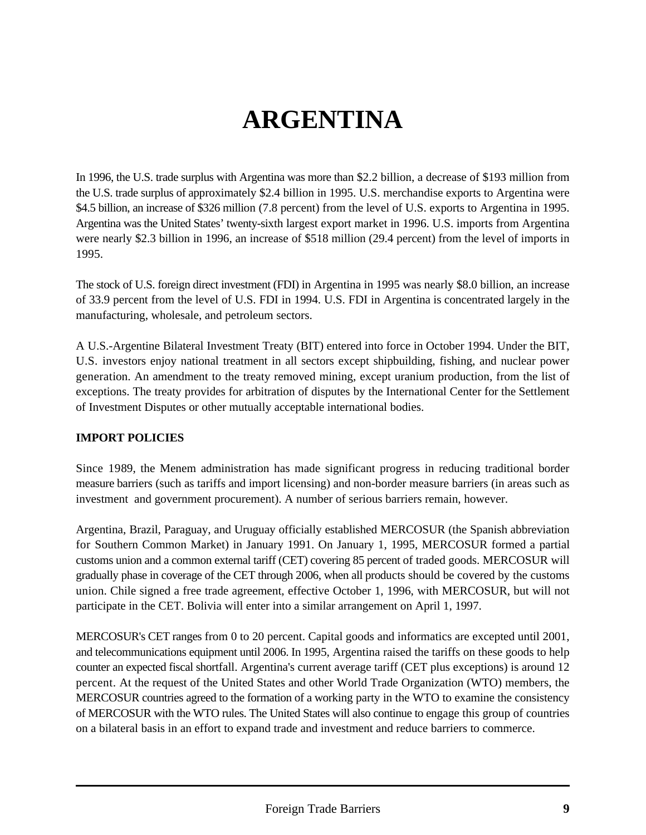# **ARGENTINA**

In 1996, the U.S. trade surplus with Argentina was more than \$2.2 billion, a decrease of \$193 million from the U.S. trade surplus of approximately \$2.4 billion in 1995. U.S. merchandise exports to Argentina were \$4.5 billion, an increase of \$326 million (7.8 percent) from the level of U.S. exports to Argentina in 1995. Argentina was the United States' twenty-sixth largest export market in 1996. U.S. imports from Argentina were nearly \$2.3 billion in 1996, an increase of \$518 million (29.4 percent) from the level of imports in 1995.

The stock of U.S. foreign direct investment (FDI) in Argentina in 1995 was nearly \$8.0 billion, an increase of 33.9 percent from the level of U.S. FDI in 1994. U.S. FDI in Argentina is concentrated largely in the manufacturing, wholesale, and petroleum sectors.

A U.S.-Argentine Bilateral Investment Treaty (BIT) entered into force in October 1994. Under the BIT, U.S. investors enjoy national treatment in all sectors except shipbuilding, fishing, and nuclear power generation. An amendment to the treaty removed mining, except uranium production, from the list of exceptions. The treaty provides for arbitration of disputes by the International Center for the Settlement of Investment Disputes or other mutually acceptable international bodies.

## **IMPORT POLICIES**

Since 1989, the Menem administration has made significant progress in reducing traditional border measure barriers (such as tariffs and import licensing) and non-border measure barriers (in areas such as investment and government procurement). A number of serious barriers remain, however.

Argentina, Brazil, Paraguay, and Uruguay officially established MERCOSUR (the Spanish abbreviation for Southern Common Market) in January 1991. On January 1, 1995, MERCOSUR formed a partial customs union and a common external tariff (CET) covering 85 percent of traded goods. MERCOSUR will gradually phase in coverage of the CET through 2006, when all products should be covered by the customs union. Chile signed a free trade agreement, effective October 1, 1996, with MERCOSUR, but will not participate in the CET. Bolivia will enter into a similar arrangement on April 1, 1997.

MERCOSUR's CET ranges from 0 to 20 percent. Capital goods and informatics are excepted until 2001, and telecommunications equipment until 2006. In 1995, Argentina raised the tariffs on these goods to help counter an expected fiscal shortfall. Argentina's current average tariff (CET plus exceptions) is around 12 percent. At the request of the United States and other World Trade Organization (WTO) members, the MERCOSUR countries agreed to the formation of a working party in the WTO to examine the consistency of MERCOSUR with the WTO rules. The United States will also continue to engage this group of countries on a bilateral basis in an effort to expand trade and investment and reduce barriers to commerce.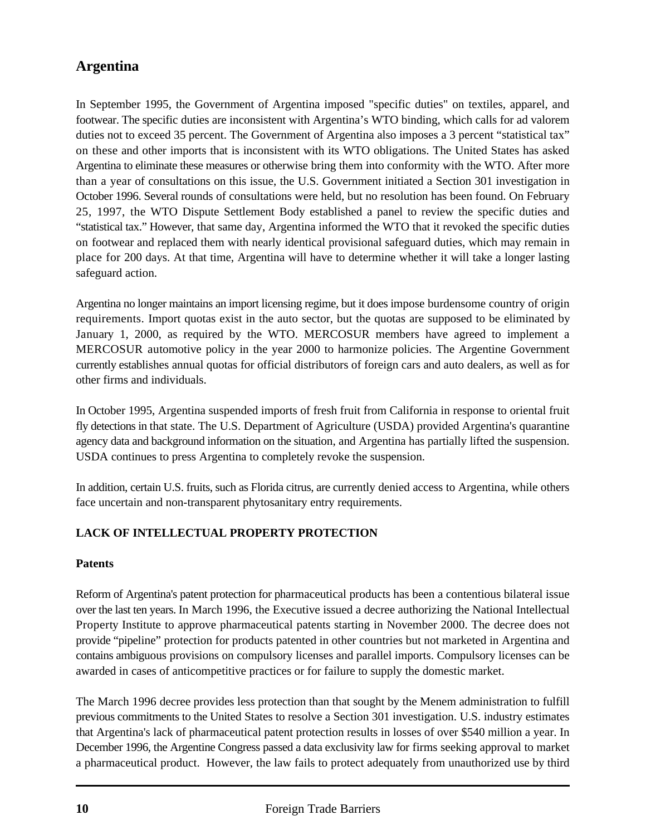# **Argentina**

In September 1995, the Government of Argentina imposed "specific duties" on textiles, apparel, and footwear. The specific duties are inconsistent with Argentina's WTO binding, which calls for ad valorem duties not to exceed 35 percent. The Government of Argentina also imposes a 3 percent "statistical tax" on these and other imports that is inconsistent with its WTO obligations. The United States has asked Argentina to eliminate these measures or otherwise bring them into conformity with the WTO. After more than a year of consultations on this issue, the U.S. Government initiated a Section 301 investigation in October 1996. Several rounds of consultations were held, but no resolution has been found. On February 25, 1997, the WTO Dispute Settlement Body established a panel to review the specific duties and "statistical tax." However, that same day, Argentina informed the WTO that it revoked the specific duties on footwear and replaced them with nearly identical provisional safeguard duties, which may remain in place for 200 days. At that time, Argentina will have to determine whether it will take a longer lasting safeguard action.

Argentina no longer maintains an import licensing regime, but it does impose burdensome country of origin requirements. Import quotas exist in the auto sector, but the quotas are supposed to be eliminated by January 1, 2000, as required by the WTO. MERCOSUR members have agreed to implement a MERCOSUR automotive policy in the year 2000 to harmonize policies. The Argentine Government currently establishes annual quotas for official distributors of foreign cars and auto dealers, as well as for other firms and individuals.

In October 1995, Argentina suspended imports of fresh fruit from California in response to oriental fruit fly detections in that state. The U.S. Department of Agriculture (USDA) provided Argentina's quarantine agency data and background information on the situation, and Argentina has partially lifted the suspension. USDA continues to press Argentina to completely revoke the suspension.

In addition, certain U.S. fruits, such as Florida citrus, are currently denied access to Argentina, while others face uncertain and non-transparent phytosanitary entry requirements.

## **LACK OF INTELLECTUAL PROPERTY PROTECTION**

### **Patents**

Reform of Argentina's patent protection for pharmaceutical products has been a contentious bilateral issue over the last ten years. In March 1996, the Executive issued a decree authorizing the National Intellectual Property Institute to approve pharmaceutical patents starting in November 2000. The decree does not provide "pipeline" protection for products patented in other countries but not marketed in Argentina and contains ambiguous provisions on compulsory licenses and parallel imports. Compulsory licenses can be awarded in cases of anticompetitive practices or for failure to supply the domestic market.

The March 1996 decree provides less protection than that sought by the Menem administration to fulfill previous commitments to the United States to resolve a Section 301 investigation. U.S. industry estimates that Argentina's lack of pharmaceutical patent protection results in losses of over \$540 million a year. In December 1996, the Argentine Congress passed a data exclusivity law for firms seeking approval to market a pharmaceutical product. However, the law fails to protect adequately from unauthorized use by third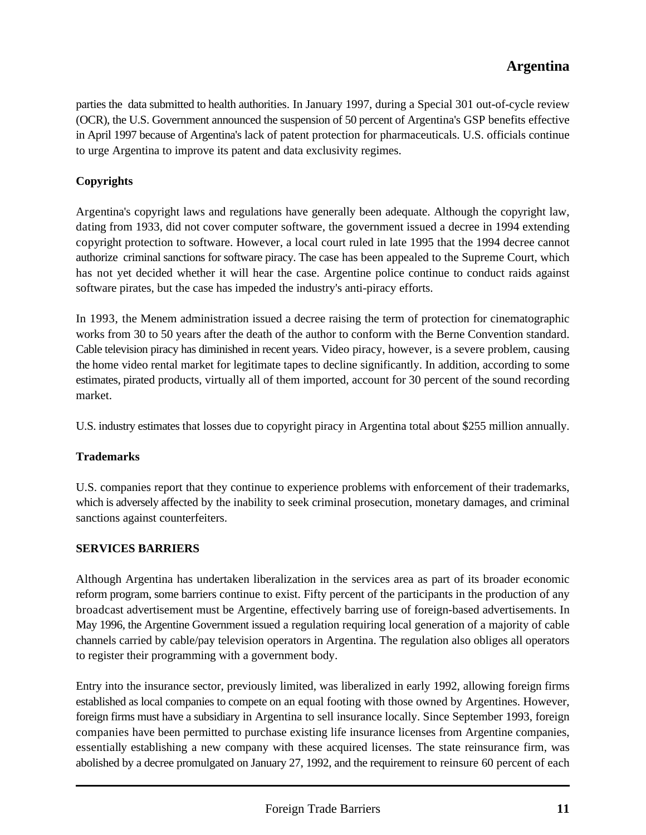# **Argentina**

parties the data submitted to health authorities. In January 1997, during a Special 301 out-of-cycle review (OCR), the U.S. Government announced the suspension of 50 percent of Argentina's GSP benefits effective in April 1997 because of Argentina's lack of patent protection for pharmaceuticals. U.S. officials continue to urge Argentina to improve its patent and data exclusivity regimes.

#### **Copyrights**

Argentina's copyright laws and regulations have generally been adequate. Although the copyright law, dating from 1933, did not cover computer software, the government issued a decree in 1994 extending copyright protection to software. However, a local court ruled in late 1995 that the 1994 decree cannot authorize criminal sanctions for software piracy. The case has been appealed to the Supreme Court, which has not yet decided whether it will hear the case. Argentine police continue to conduct raids against software pirates, but the case has impeded the industry's anti-piracy efforts.

In 1993, the Menem administration issued a decree raising the term of protection for cinematographic works from 30 to 50 years after the death of the author to conform with the Berne Convention standard. Cable television piracy has diminished in recent years. Video piracy, however, is a severe problem, causing the home video rental market for legitimate tapes to decline significantly. In addition, according to some estimates, pirated products, virtually all of them imported, account for 30 percent of the sound recording market.

U.S. industry estimates that losses due to copyright piracy in Argentina total about \$255 million annually.

#### **Trademarks**

U.S. companies report that they continue to experience problems with enforcement of their trademarks, which is adversely affected by the inability to seek criminal prosecution, monetary damages, and criminal sanctions against counterfeiters.

#### **SERVICES BARRIERS**

Although Argentina has undertaken liberalization in the services area as part of its broader economic reform program, some barriers continue to exist. Fifty percent of the participants in the production of any broadcast advertisement must be Argentine, effectively barring use of foreign-based advertisements. In May 1996, the Argentine Government issued a regulation requiring local generation of a majority of cable channels carried by cable/pay television operators in Argentina. The regulation also obliges all operators to register their programming with a government body.

Entry into the insurance sector, previously limited, was liberalized in early 1992, allowing foreign firms established as local companies to compete on an equal footing with those owned by Argentines. However, foreign firms must have a subsidiary in Argentina to sell insurance locally. Since September 1993, foreign companies have been permitted to purchase existing life insurance licenses from Argentine companies, essentially establishing a new company with these acquired licenses. The state reinsurance firm, was abolished by a decree promulgated on January 27, 1992, and the requirement to reinsure 60 percent of each